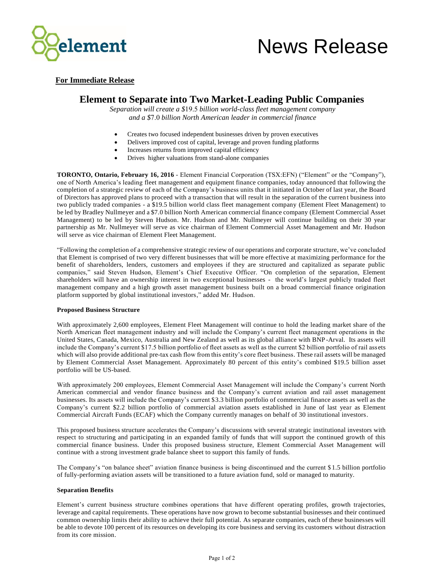

# News Release

### **For Immediate Release**

## **Element to Separate into Two Market-Leading Public Companies**

*Separation will create a \$*19.5 *billion world-class fleet management company and a \$*7.0 *billion North American leader in commercial finance*

- Creates two focused independent businesses driven by proven executives
- Delivers improved cost of capital, leverage and proven funding platforms
- Increases returns from improved capital efficiency
- Drives higher valuations from stand-alone companies

**TORONTO, Ontario, February 16, 2016** - Element Financial Corporation (TSX:EFN) ("Element" or the "Company"), one of North America's leading fleet management and equipment finance companies, today announced that following the completion of a strategic review of each of the Company's business units that it initiated in October of last year, the Board of Directors has approved plans to proceed with a transaction that will result in the separation of the curren t business into two publicly traded companies - a \$19.5 billion world class fleet management company (Element Fleet Management) to be led by Bradley Nullmeyer and a \$7.0 billion North American commercial finance company (Element Commercial Asset Management) to be led by Steven Hudson. Mr. Hudson and Mr. Nullmeyer will continue building on their 30 year partnership as Mr. Nullmeyer will serve as vice chairman of Element Commercial Asset Management and Mr. Hudson will serve as vice chairman of Element Fleet Management.

"Following the completion of a comprehensive strategic review of our operations and corporate structure, we've concluded that Element is comprised of two very different businesses that will be more effective at maximizing performance for the benefit of shareholders, lenders, customers and employees if they are structured and capitalized as separate public companies," said Steven Hudson, Element's Chief Executive Officer. "On completion of the separation, Element shareholders will have an ownership interest in two exceptional businesses - the world's largest publicly traded fleet management company and a high growth asset management business built on a broad commercial finance origination platform supported by global institutional investors," added Mr. Hudson.

#### **Proposed Business Structure**

With approximately 2,600 employees, Element Fleet Management will continue to hold the leading market share of the North American fleet management industry and will include the Company's current fleet management operations in the United States, Canada, Mexico, Australia and New Zealand as well as its global alliance with BNP-Arval. Its assets will include the Company's current \$17.5 billion portfolio of fleet assets as well as the current \$2 billion portfolio of rail ass ets which will also provide additional pre-tax cash flow from this entity's core fleet business. These rail assets will be managed by Element Commercial Asset Management. Approximately 80 percent of this entity's combined \$19.5 billion asset portfolio will be US-based.

With approximately 200 employees, Element Commercial Asset Management will include the Company's current North American commercial and vendor finance business and the Company's current aviation and rail asset management businesses. Its assets will include the Company's current \$3.3 billion portfolio of commercial finance assets as well as the Company's current \$2.2 billion portfolio of commercial aviation assets established in June of last year as Element Commercial Aircraft Funds (ECAF) which the Company currently manages on behalf of 30 institutional investors.

This proposed business structure accelerates the Company's discussions with several strategic institutional investors with respect to structuring and participating in an expanded family of funds that will support the continued growth of this commercial finance business. Under this proposed business structure, Element Commercial Asset Management will continue with a strong investment grade balance sheet to support this family of funds.

The Company's "on balance sheet" aviation finance business is being discontinued and the current \$ 1.5 billion portfolio of fully-performing aviation assets will be transitioned to a future aviation fund, sold or managed to maturity.

#### **Separation Benefits**

Element's current business structure combines operations that have different operating profiles, growth trajectories, leverage and capital requirements. These operations have now grown to become substantial businesses and their continued common ownership limits their ability to achieve their full potential. As separate companies, each of these businesses will be able to devote 100 percent of its resources on developing its core business and serving its customers without distraction from its core mission.